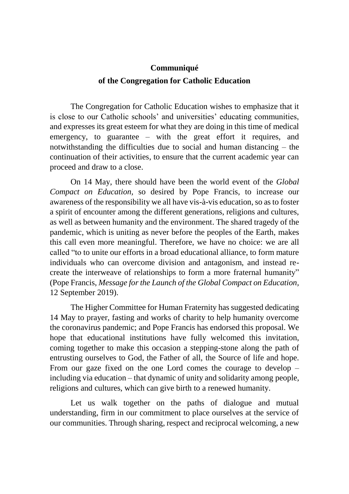## **Communiqué of the Congregation for Catholic Education**

The Congregation for Catholic Education wishes to emphasize that it is close to our Catholic schools' and universities' educating communities, and expresses its great esteem for what they are doing in this time of medical emergency, to guarantee – with the great effort it requires, and notwithstanding the difficulties due to social and human distancing – the continuation of their activities, to ensure that the current academic year can proceed and draw to a close.

On 14 May, there should have been the world event of the *Global Compact on Education,* so desired by Pope Francis, to increase our awareness of the responsibility we all have vis-à-vis education, so as to foster a spirit of encounter among the different generations, religions and cultures, as well as between humanity and the environment. The shared tragedy of the pandemic, which is uniting as never before the peoples of the Earth, makes this call even more meaningful. Therefore, we have no choice: we are all called "to to unite our efforts in a broad educational alliance, to form mature individuals who can overcome division and antagonism, and instead recreate the interweave of relationships to form a more fraternal humanity" (Pope Francis, *Message for the Launch of the Global Compact on Education,* 12 September 2019).

The Higher Committee for Human Fraternity has suggested dedicating 14 May to prayer, fasting and works of charity to help humanity overcome the coronavirus pandemic; and Pope Francis has endorsed this proposal. We hope that educational institutions have fully welcomed this invitation, coming together to make this occasion a stepping-stone along the path of entrusting ourselves to God, the Father of all, the Source of life and hope. From our gaze fixed on the one Lord comes the courage to develop – including via education – that dynamic of unity and solidarity among people, religions and cultures, which can give birth to a renewed humanity.

Let us walk together on the paths of dialogue and mutual understanding, firm in our commitment to place ourselves at the service of our communities. Through sharing, respect and reciprocal welcoming, a new